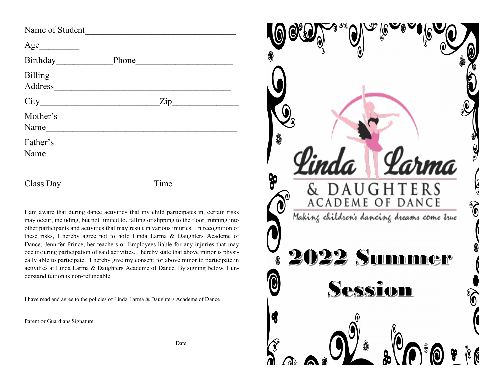| Name of Student    |                |
|--------------------|----------------|
| Age                |                |
| Birthday           | Phone          |
| Billing<br>Address |                |
|                    | $\mathsf{Zip}$ |
| Mother's<br>Name   |                |
| Father's<br>Name   |                |
| Class Day          | Time           |

I am aware that during dance activities that my child participates in, certain risks may occur, including, but not limited to, falling or slipping to the floor, running into other participants and activities that may result in various injuries. In recognition of these risks, I hereby agree not to hold Linda Larma & Daughters Academe of Dance, Jennifer Prince, her teachers or Employees liable for any injuries that may occur during participation of said activities. I hereby state that above minor is physically able to participate. I hereby give my consent for above minor to participate in activities at Linda Larma & Daughters Academe of Dance. By signing below, I understand tuition is non-refundable.

I have read and agree to the policies of Linda Larma & Daughters Academe of Dance

Parent or Guardians Signature

\_\_\_\_\_\_\_\_\_\_\_\_\_\_\_\_\_\_\_\_\_\_\_\_\_\_\_\_\_\_\_\_\_\_\_\_\_\_\_\_\_\_\_\_\_\_\_\_\_\_\_\_\_Date\_\_\_\_\_\_\_\_\_\_\_\_\_\_\_\_\_\_